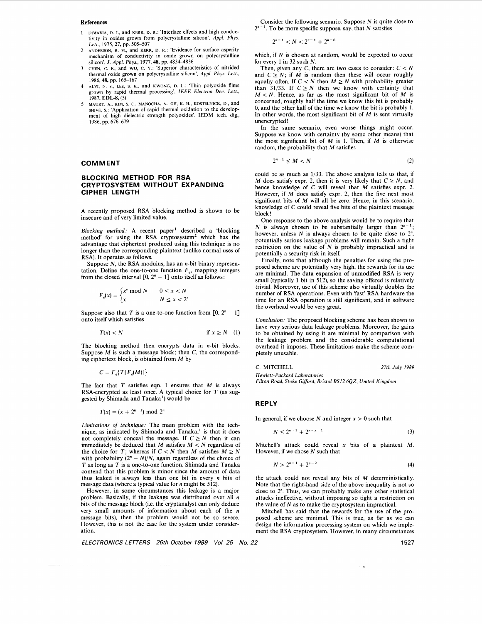### **References**

- 1 **DIMARIA, D. J.,** and **KERR, D. R.:** 'Interface effects and high conductivity in oxides grown from polycrystalline silicon', *Appl. Phys. Lett.,* 1975, *21,* pp. 505-507
- **ANDERSON, R. M.,** and **KERR, D. R.:** 'Evidence **for** surface asperity mechanism of conductivity in oxide grown on polycrystalline silicon', *J. Appl. Phys.,* 1977, *48,* pp. 48344836 2
- **CHEN,** c. F., and wu, c. **Y.:** 'Superior characteristics of nitrided thermal oxide grown on polycrystalline silicon', *Appl. Phys. Lett.,*  1986, 48, pp. 165-167 3
- 4 **ALVI,** N. **s., LEE, s. K.,** and **KWONG, D.** L.: 'Thin polyoxide films grown by rapid thermal processing', *IEEE Electron Deu. Lett.,*  1987, **EDL-8,** (5)
- **MAURY, A., KIM, s. c., MANOCHA, A., OH, K. H., KOSTELNICK, D.,** and **SHIVE, s.:** 'Application of rapid thermal oxidation to the development of high dielectric strength polyoxides'. **IEDM** tech. dig., 1986, pp. 676-679 5

### **COMMENT**

# **BLOCKING METHOD FOR RSA CRYPTOSYSTEM WITHOUT EXPANDING CIPHER LENGTH**

A recently proposed RSA blocking method is shown to be insecure and of very limited value.

*Blocking method:* A recent paper' described a 'blocking method' for using the RSA cryptosystem<sup>2</sup> which has the advantage that ciphertext produced using this technique is no longer than the corresponding plaintext (unlike normal uses of RSA). It operates as follows.

Suppose *N*, the RSA modulus, has an *n*-bit binary representation. Define the one-to-one function  $F_e$ , mapping integers from the closed interval  $[0, 2<sup>n</sup> - 1]$  onto itself as follows:

$$
F_e(x) = \begin{cases} x^e \bmod N & 0 \le x < N \\ x & N \le x < 2^n \end{cases}
$$

Suppose also that *T* is a one-to-one function from  $\lceil 0, 2^n - 1 \rceil$ onto itself which satisfies

$$
T(x) < N \qquad \text{if } x \ge N \quad (1)
$$

The blocking method then encrypts data in  $n$ -bit blocks. Suppose *M* is such a message block; then *C,* the corresponding ciphertext block, is obtained from *M* by

$$
C = F_{\rho} \{ T[F_{\rho}(M)] \}
$$

-----

The fact that T satisfies eqn. 1 ensures that *M* is always RSA-encrypted as least once. A typical choice for  $T$  (as suggested by Shimada and Tanaka') would be

$$
T(x) = (x + 2^{n-1}) \bmod 2^n
$$

*Limitations of technique:* The main problem with the technique, as indicated by Shimada and Tanaka,' is that it does not completely conceal the message. If  $C \geq N$  then it can immediately be deduced that *M* satisfies *M* < *N* regardless of the choice for *T*; whereas if *C* < *N* then *M* satisfies  $M \ge N$  with probability  $(2^n - N)/N$ , again regardless of the choice of T as long as T is a one-to-one function. Shimada and Tanaka contend that this problem is minor since the amount of data thus leaked is always less than one bit in every *n* bits of message data (where a typical value for *n* might be *512).* 

However, in some circumstances this leakage is a major problem. Basically, if the leakage was distributed over all *n*  bits of the message block (i.e. the cryptanalyst can only deduce very small amounts of information about each of the *n*  message bits), then the problem would not be so severe. However, this is not the case for the system under consideration.

*ELECTRONICS LETTERS 26th October 1989 Vol. 25 No.* 

Consider the following scenario. Suppose *N* is quite close to *2"-'.* To be more specific suppose, say, that *N* satisfies

$$
2^{n-1} < N < 2^{n-1} + 2^{n-6}
$$

which, if *N* is chosen at random, would be expected to occur for every *1* in *32* such *N.* 

Then, given any  $C$ , there are two cases to consider:  $C < N$ and  $C \geq N$ ; if *M* is random then these will occur roughly equally often. If  $C < N$  then  $M \ge N$  with probability greater than 31/33. If  $C \geq N$  then we know with certainty that  $M < N$ . Hence, as far as the most significant bit of *M* is concerned, roughly half the time we know this bit is probably 0, and the other half of the time we know the bit is probably 1. In other words, the most significant bit of *M* is sent virtually unencrypted !

In the same scenario, even worse things might occur. Suppose we know with certainty (by some other means) that the most significant bit of *M* is 1. Then, if *M* is otherwise random, the probability that *M* satisfies

$$
2^{n-1} \leq M < N \tag{2}
$$

could be as much as *1/33.* The above analysis tells us that, if *M* does satisfy expr. 2, then it is very likely that  $C \geq N$ , and hence knowledge of *C* will reveal that *M* satisfies expr. *2.*  However, if *M* does satisfy expr. *2,* then the five next most significant bits of *M* will all be zero. Hence, in this scenario, knowledge of *C* could reveal five bits of the plaintext message block !

One response to the above analysis would be to require that *N* is always chosen to be substantially larger than  $2^{n-1}$ however, unless *N* is always chosen to be quite close to  $2^n$ , potentially serious leakage problems will remain. Such a tight restriction on the value of *N* is probably impractical and is potentially a security risk in itself.

Finally, note that although the penalties for using the proposed scheme are potentially very high, the rewards for its use are minimal. The data expansion of unmodified RSA is very small (typically *1* bit in *512),* so the saving offered is relatively trivial. Moreover, use of this scheme also virtually doubles the number of RSA operations. Even with 'fast' RSA hardware the time for an RSA operation is still significant, and in software the overhead would be very great.

*Conclusion:* The proposed blocking scheme has been shown to have very serious data leakage problems. Moreover, the gains to be obtained by using it are minimal by comparison with the leakage problem and the considerable computational overhead it imposes. These limitations make the scheme completely unusable.

**C. MITCHELL** *27th July 1989* 

*Hewlett-P ackard Laboratories Filton Road, Stoke Gifford, Bristol BSI2 6Q2, United Kingdom* 

## **REPLY**

In general, if we choose *N* and integer  $x > 0$  such that

$$
N \leq 2^{n-1} + 2^{n-x-1} \tag{3}
$$

Mitchell's attack could reveal **x** bits of a plaintext *M.*  However, if we chose  $N$  such that

$$
N > 2^{n-1} + 2^{n-2} \tag{4}
$$

the attack could not reveal any bits of *M* deterministically. Note that the right-hand side of the above inequality is not so close to 2". Thus, we can probably make any other statistical attacks ineffective, without imposing so tight a restriction on the value of *N* as to make the cryptosystem impractical.

Mitchell has said that the rewards for the use of the proposed scheme are minimal. This is true, as far as we can design the information processing system on which we implement the RSA cryptosystem. However, in many circumstances

**11** 

*22* 1527